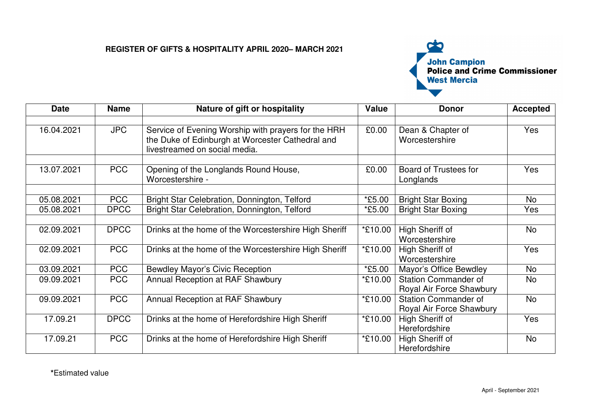## **REGISTER OF GIFTS & HOSPITALITY APRIL 2020– MARCH 2021**



| <b>Date</b> | <b>Name</b> | Nature of gift or hospitality                                                                           | Value                | <b>Donor</b>                        | <b>Accepted</b> |
|-------------|-------------|---------------------------------------------------------------------------------------------------------|----------------------|-------------------------------------|-----------------|
|             |             |                                                                                                         |                      |                                     |                 |
| 16.04.2021  | <b>JPC</b>  | Service of Evening Worship with prayers for the HRH<br>the Duke of Edinburgh at Worcester Cathedral and | £0.00                | Dean & Chapter of<br>Worcestershire | Yes             |
|             |             | livestreamed on social media.                                                                           |                      |                                     |                 |
|             |             |                                                                                                         |                      |                                     |                 |
| 13.07.2021  | <b>PCC</b>  | Opening of the Longlands Round House,                                                                   | £0.00                | Board of Trustees for               | Yes             |
|             |             | Worcestershire -                                                                                        |                      | Longlands                           |                 |
| 05.08.2021  | <b>PCC</b>  | Bright Star Celebration, Donnington, Telford                                                            | *£5.00               | <b>Bright Star Boxing</b>           | No              |
| 05.08.2021  | <b>DPCC</b> | Bright Star Celebration, Donnington, Telford                                                            | <i>*</i> £5.00       | <b>Bright Star Boxing</b>           | Yes             |
|             |             |                                                                                                         |                      |                                     |                 |
| 02.09.2021  | <b>DPCC</b> | Drinks at the home of the Worcestershire High Sheriff                                                   | *£10.00              | High Sheriff of                     | No              |
|             |             |                                                                                                         |                      | Worcestershire                      |                 |
| 02.09.2021  | <b>PCC</b>  | Drinks at the home of the Worcestershire High Sheriff                                                   | *£10.00              | High Sheriff of                     | Yes             |
|             |             |                                                                                                         |                      | Worcestershire                      |                 |
| 03.09.2021  | <b>PCC</b>  | <b>Bewdley Mayor's Civic Reception</b>                                                                  | <i><b>*£5.00</b></i> | <b>Mayor's Office Bewdley</b>       | <b>No</b>       |
| 09.09.2021  | <b>PCC</b>  | Annual Reception at RAF Shawbury                                                                        | *£10.00              | <b>Station Commander of</b>         | No              |
|             |             |                                                                                                         |                      | Royal Air Force Shawbury            |                 |
| 09.09.2021  | <b>PCC</b>  | Annual Reception at RAF Shawbury                                                                        | *£10.00              | <b>Station Commander of</b>         | <b>No</b>       |
|             |             |                                                                                                         |                      | Royal Air Force Shawbury            |                 |
| 17.09.21    | <b>DPCC</b> | Drinks at the home of Herefordshire High Sheriff                                                        | *£10.00              | High Sheriff of                     | Yes             |
|             |             |                                                                                                         |                      | Herefordshire                       |                 |
| 17.09.21    | <b>PCC</b>  | Drinks at the home of Herefordshire High Sheriff                                                        | *£10.00              | High Sheriff of                     | <b>No</b>       |
|             |             |                                                                                                         |                      | Herefordshire                       |                 |

**\***Estimated value